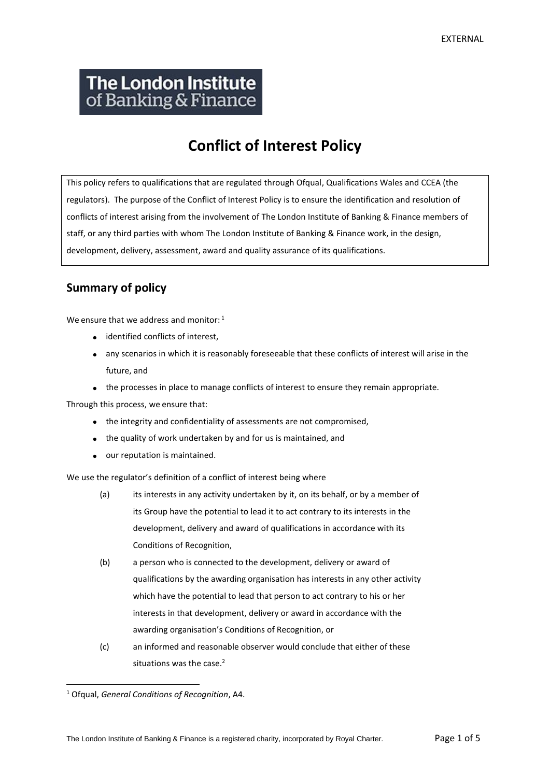# **The London Institute** of Banking & Finance

## **Conflict of Interest Policy**

This policy refers to qualifications that are regulated through Ofqual, Qualifications Wales and CCEA (the regulators). The purpose of the Conflict of Interest Policy is to ensure the identification and resolution of conflicts of interest arising from the involvement of The London Institute of Banking & Finance members of staff, or any third parties with whom The London Institute of Banking & Finance work, in the design, development, delivery, assessment, award and quality assurance of its qualifications.

### **Summary of policy**

We ensure that we address and monitor: <sup>1</sup>

- identified conflicts of interest,
- any scenarios in which it is reasonably foreseeable that these conflicts of interest will arise in the future, and
- the processes in place to manage conflicts of interest to ensure they remain appropriate.

Through this process, we ensure that:

- the integrity and confidentiality of assessments are not compromised,
- the quality of work undertaken by and for us is maintained, and
- our reputation is maintained.

We use the regulator's definition of a conflict of interest being where

- (a) its interests in any activity undertaken by it, on its behalf, or by a member of its Group have the potential to lead it to act contrary to its interests in the development, delivery and award of qualifications in accordance with its Conditions of Recognition,
- (b) a person who is connected to the development, delivery or award of qualifications by the awarding organisation has interests in any other activity which have the potential to lead that person to act contrary to his or her interests in that development, delivery or award in accordance with the awarding organisation's Conditions of Recognition, or
- (c) an informed and reasonable observer would conclude that either of these situations was the case.<sup>2</sup>

<sup>1</sup> Ofqual, *General Conditions of Recognition*, A4.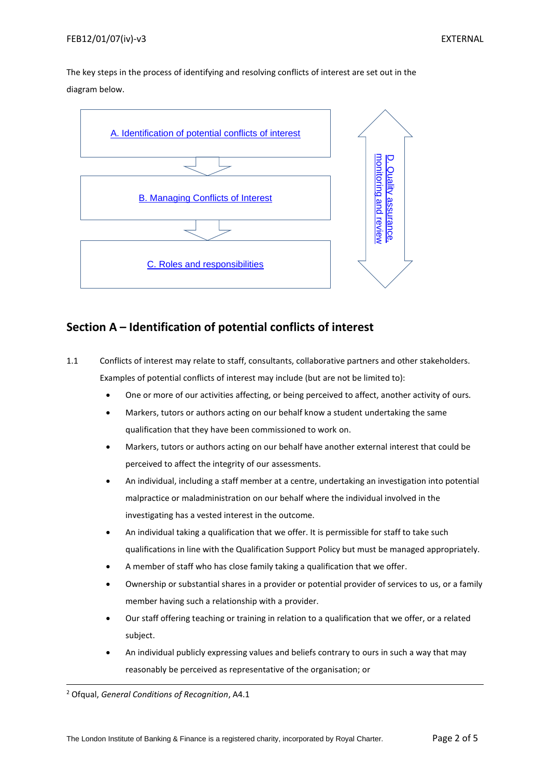The key steps in the process of identifying and resolving conflicts of interest are set out in the diagram below.



#### <span id="page-1-0"></span>**Section A – Identification of potential conflicts of interest**

- 1.1 Conflicts of interest may relate to staff, consultants, collaborative partners and other stakeholders. Examples of potential conflicts of interest may include (but are not be limited to):
	- One or more of our activities affecting, or being perceived to affect, another activity of ours*.*
	- Markers, tutors or authors acting on our behalf know a student undertaking the same qualification that they have been commissioned to work on.
	- Markers, tutors or authors acting on our behalf have another external interest that could be perceived to affect the integrity of our assessments.
	- An individual, including a staff member at a centre, undertaking an investigation into potential malpractice or maladministration on our behalf where the individual involved in the investigating has a vested interest in the outcome.
	- An individual taking a qualification that we offer. It is permissible for staff to take such qualifications in line with the Qualification Support Policy but must be managed appropriately.
	- A member of staff who has close family taking a qualification that we offer.
	- Ownership or substantial shares in a provider or potential provider of services to us, or a family member having such a relationship with a provider.
	- Our staff offering teaching or training in relation to a qualification that we offer, or a related subject.
	- An individual publicly expressing values and beliefs contrary to ours in such a way that may reasonably be perceived as representative of the organisation; or

<sup>2</sup> Ofqual, *General Conditions of Recognition*, A4.1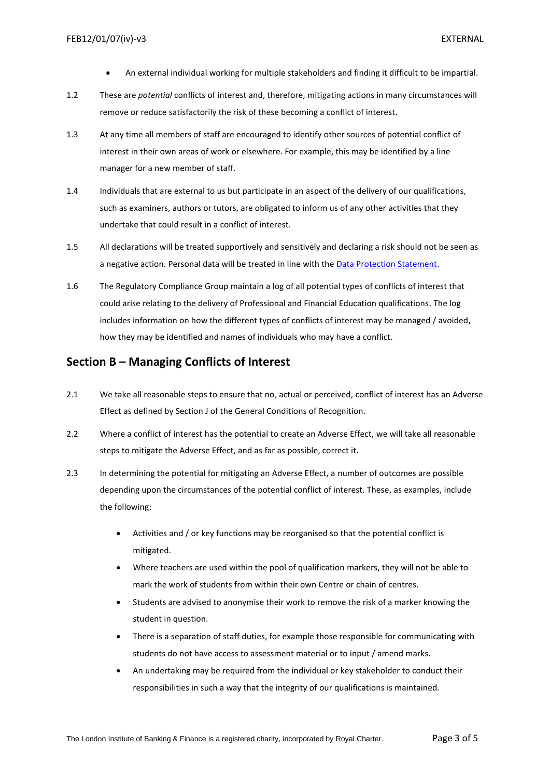- An external individual working for multiple stakeholders and finding it difficult to be impartial.
- 1.2 These are *potential* conflicts of interest and, therefore, mitigating actions in many circumstances will remove or reduce satisfactorily the risk of these becoming a conflict of interest.
- 1.3 At any time all members of staff are encouraged to identify other sources of potential conflict of interest in their own areas of work or elsewhere. For example, this may be identified by a line manager for a new member of staff.
- 1.4 Individuals that are external to us but participate in an aspect of the delivery of our qualifications, such as examiners, authors or tutors, are obligated to inform us of any other activities that they undertake that could result in a conflict of interest.
- 1.5 All declarations will be treated supportively and sensitively and declaring a risk should not be seen as a negative action. Personal data will be treated in line with the [Data Protection Statement.](http://www.libf.ac.uk/about-us/data-protection-privacy-cookie-policy)
- 1.6 The Regulatory Compliance Group maintain a log of all potential types of conflicts of interest that could arise relating to the delivery of Professional and Financial Education qualifications. The log includes information on how the different types of conflicts of interest may be managed / avoided, how they may be identified and names of individuals who may have a conflict.

#### <span id="page-2-0"></span>**Section B – Managing Conflicts of Interest**

- 2.1 We take all reasonable steps to ensure that no, actual or perceived, conflict of interest has an Adverse Effect as defined by Section J of the General Conditions of Recognition.
- 2.2 Where a conflict of interest has the potential to create an Adverse Effect, we will take all reasonable steps to mitigate the Adverse Effect, and as far as possible, correct it.
- 2.3 In determining the potential for mitigating an Adverse Effect, a number of outcomes are possible depending upon the circumstances of the potential conflict of interest. These, as examples, include the following:
	- Activities and / or key functions may be reorganised so that the potential conflict is mitigated.
	- Where teachers are used within the pool of qualification markers, they will not be able to mark the work of students from within their own Centre or chain of centres.
	- Students are advised to anonymise their work to remove the risk of a marker knowing the student in question.
	- There is a separation of staff duties, for example those responsible for communicating with students do not have access to assessment material or to input / amend marks.
	- An undertaking may be required from the individual or key stakeholder to conduct their responsibilities in such a way that the integrity of our qualifications is maintained.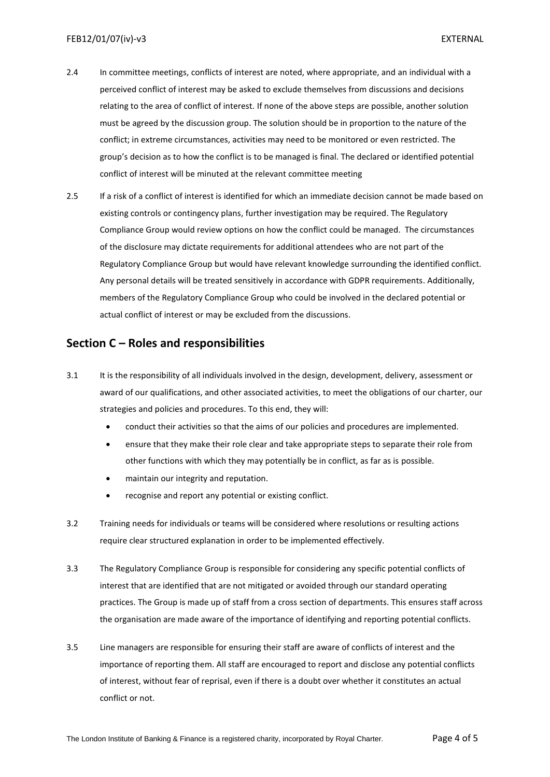- 2.4 In committee meetings, conflicts of interest are noted, where appropriate, and an individual with a perceived conflict of interest may be asked to exclude themselves from discussions and decisions relating to the area of conflict of interest. If none of the above steps are possible, another solution must be agreed by the discussion group. The solution should be in proportion to the nature of the conflict; in extreme circumstances, activities may need to be monitored or even restricted. The group's decision as to how the conflict is to be managed is final. The declared or identified potential conflict of interest will be minuted at the relevant committee meeting
- 2.5 If a risk of a conflict of interest is identified for which an immediate decision cannot be made based on existing controls or contingency plans, further investigation may be required. The Regulatory Compliance Group would review options on how the conflict could be managed. The circumstances of the disclosure may dictate requirements for additional attendees who are not part of the Regulatory Compliance Group but would have relevant knowledge surrounding the identified conflict. Any personal details will be treated sensitively in accordance with GDPR requirements. Additionally, members of the Regulatory Compliance Group who could be involved in the declared potential or actual conflict of interest or may be excluded from the discussions.

#### <span id="page-3-0"></span>**Section C – Roles and responsibilities**

- 3.1 It is the responsibility of all individuals involved in the design, development, delivery, assessment or award of our qualifications, and other associated activities, to meet the obligations of our charter, our strategies and policies and procedures. To this end, they will:
	- conduct their activities so that the aims of our policies and procedures are implemented.
	- ensure that they make their role clear and take appropriate steps to separate their role from other functions with which they may potentially be in conflict, as far as is possible.
	- maintain our integrity and reputation.
	- recognise and report any potential or existing conflict.
- 3.2 Training needs for individuals or teams will be considered where resolutions or resulting actions require clear structured explanation in order to be implemented effectively.
- 3.3 The Regulatory Compliance Group is responsible for considering any specific potential conflicts of interest that are identified that are not mitigated or avoided through our standard operating practices. The Group is made up of staff from a cross section of departments. This ensures staff across the organisation are made aware of the importance of identifying and reporting potential conflicts.
- 3.5 Line managers are responsible for ensuring their staff are aware of conflicts of interest and the importance of reporting them. All staff are encouraged to report and disclose any potential conflicts of interest, without fear of reprisal, even if there is a doubt over whether it constitutes an actual conflict or not.